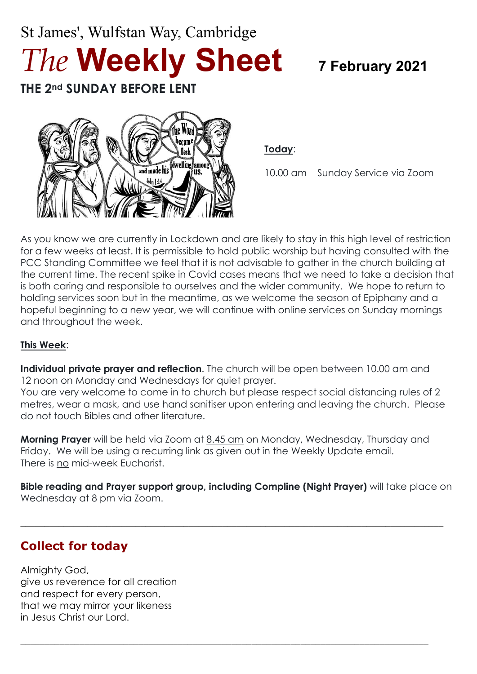# St James', Wulfstan Way, Cambridge *The* **Weekly Sheet 7 February <sup>2021</sup>**

# **THE 2nd SUNDAY BEFORE LENT**



### **Today**:

10.00 am Sunday Service via Zoom

As you know we are currently in Lockdown and are likely to stay in this high level of restriction for a few weeks at least. It is permissible to hold public worship but having consulted with the PCC Standing Committee we feel that it is not advisable to gather in the church building at the current time. The recent spike in Covid cases means that we need to take a decision that is both caring and responsible to ourselves and the wider community. We hope to return to holding services soon but in the meantime, as we welcome the season of Epiphany and a hopeful beginning to a new year, we will continue with online services on Sunday mornings and throughout the week.

### **This Week**:

**Individua**l **private prayer and reflection**. The church will be open between 10.00 am and 12 noon on Monday and Wednesdays for quiet prayer.

You are very welcome to come in to church but please respect social distancing rules of 2 metres, wear a mask, and use hand sanitiser upon entering and leaving the church. Please do not touch Bibles and other literature.

**Morning Prayer** will be held via Zoom at 8.45 am on Monday, Wednesday, Thursday and Friday. We will be using a recurring link as given out in the Weekly Update email. There is no mid-week Eucharist.

**Bible reading and Prayer support group, including Compline (Night Prayer)** will take place on Wednesday at 8 pm via Zoom.

 $\_$  , and the set of the set of the set of the set of the set of the set of the set of the set of the set of the set of the set of the set of the set of the set of the set of the set of the set of the set of the set of th

\_\_\_\_\_\_\_\_\_\_\_\_\_\_\_\_\_\_\_\_\_\_\_\_\_\_\_\_\_\_\_\_\_\_\_\_\_\_\_\_\_\_\_\_\_\_\_\_\_\_\_\_\_\_\_\_\_\_\_\_\_\_\_\_\_\_\_\_\_\_\_\_\_\_\_\_\_\_\_\_\_\_\_

# **Collect for today**

Almighty God, give us reverence for all creation and respect for every person, that we may mirror your likeness in Jesus Christ our Lord.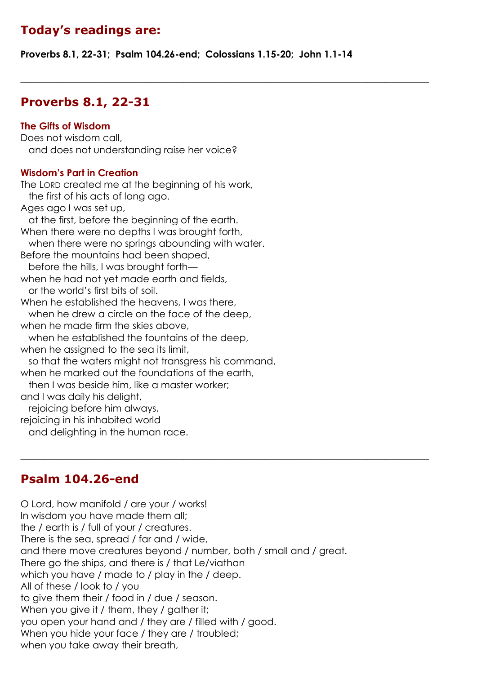# **Today's readings are:**

**Proverbs 8.1, 22-31; Psalm 104.26-end; Colossians 1.15-20; John 1.1-14**

 $\_$  , and the set of the set of the set of the set of the set of the set of the set of the set of the set of the set of the set of the set of the set of the set of the set of the set of the set of the set of the set of th

# **Proverbs 8.1, 22-31**

#### **The Gifts of Wisdom**

Does not wisdom call, and does not understanding raise her voice?

#### **Wisdom's Part in Creation**

The LORD created me at the beginning of his work, the first of his acts of long ago. Ages ago I was set up, at the first, before the beginning of the earth. When there were no depths I was brought forth, when there were no springs abounding with water. Before the mountains had been shaped, before the hills, I was brought forth when he had not yet made earth and fields, or the world's first bits of soil. When he established the heavens, I was there, when he drew a circle on the face of the deep, when he made firm the skies above, when he established the fountains of the deep, when he assigned to the sea its limit, so that the waters might not transgress his command, when he marked out the foundations of the earth. then I was beside him, like a master worker; and I was daily his delight, rejoicing before him always, rejoicing in his inhabited world and delighting in the human race.

# **Psalm 104.26-end**

O Lord, how manifold / are your / works! In wisdom you have made them all; the / earth is / full of your / creatures. There is the sea, spread / far and / wide, and there move creatures beyond / number, both / small and / great. There go the ships, and there is / that Le/viathan which you have / made to / play in the / deep. All of these / look to / you to give them their / food in / due / season. When you give it / them, they / gather it; you open your hand and / they are / filled with / good. When you hide your face / they are / troubled; when you take away their breath,

 $\_$  , and the set of the set of the set of the set of the set of the set of the set of the set of the set of the set of the set of the set of the set of the set of the set of the set of the set of the set of the set of th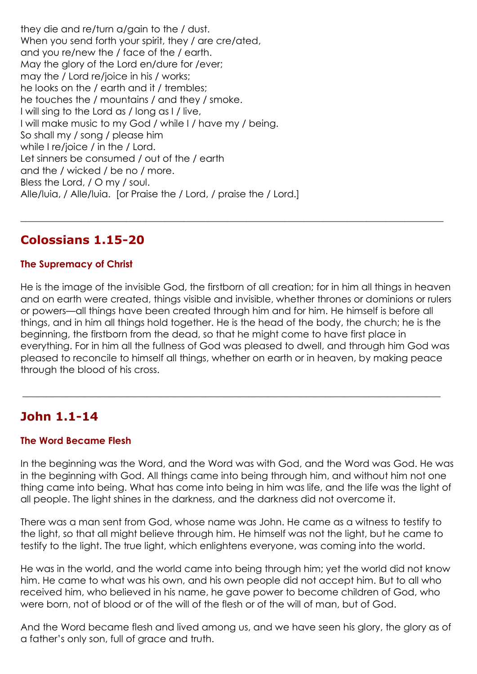they die and re/turn a/gain to the / dust. When you send forth your spirit, they / are cre/ated, and you re/new the / face of the / earth. May the glory of the Lord en/dure for /ever; may the / Lord re/joice in his / works; he looks on the / earth and it / trembles; he touches the / mountains / and they / smoke. I will sing to the Lord as / long as I / live, I will make music to my God / while I / have my / being. So shall my / song / please him while I re/joice / in the / Lord. Let sinners be consumed / out of the / earth and the / wicked / be no / more. Bless the Lord, / O my / soul. Alle/luia, / Alle/luia. [or Praise the / Lord, / praise the / Lord.]

# **Colossians 1.15-20**

#### **The Supremacy of Christ**

He is the image of the invisible God, the firstborn of all creation; for in him all things in heaven and on earth were created, things visible and invisible, whether thrones or dominions or rulers or powers—all things have been created through him and for him. He himself is before all things, and in him all things hold together. He is the head of the body, the church; he is the beginning, the firstborn from the dead, so that he might come to have first place in everything. For in him all the fullness of God was pleased to dwell, and through him God was pleased to reconcile to himself all things, whether on earth or in heaven, by making peace through the blood of his cross.

 $\_$  , and the set of the set of the set of the set of the set of the set of the set of the set of the set of the set of the set of the set of the set of the set of the set of the set of the set of the set of the set of th

 $\_$  , and the set of the set of the set of the set of the set of the set of the set of the set of the set of the set of the set of the set of the set of the set of the set of the set of the set of the set of the set of th

# **John 1.1-14**

#### **The Word Became Flesh**

In the beginning was the Word, and the Word was with God, and the Word was God. He was in the beginning with God. All things came into being through him, and without him not one thing came into being. What has come into being in him was life, and the life was the light of all people. The light shines in the darkness, and the darkness did not overcome it.

There was a man sent from God, whose name was John. He came as a witness to testify to the light, so that all might believe through him. He himself was not the light, but he came to testify to the light. The true light, which enlightens everyone, was coming into the world.

He was in the world, and the world came into being through him; yet the world did not know him. He came to what was his own, and his own people did not accept him. But to all who received him, who believed in his name, he gave power to become children of God, who were born, not of blood or of the will of the flesh or of the will of man, but of God.

And the Word became flesh and lived among us, and we have seen his glory, the glory as of a father's only son, full of grace and truth.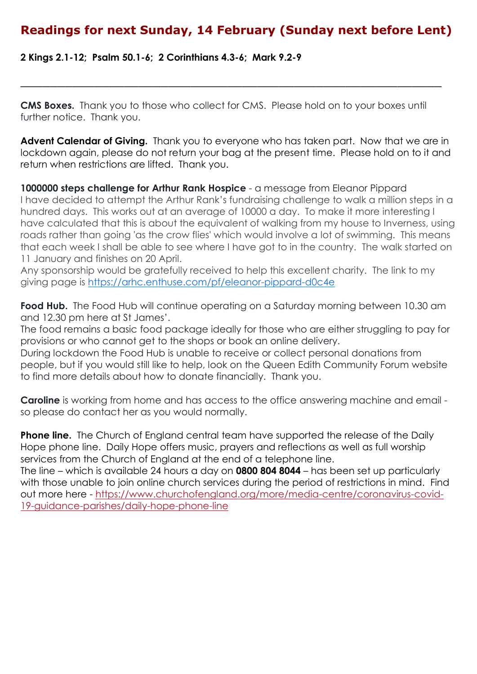# **Readings for next Sunday, 14 February (Sunday next before Lent)**

**2 Kings 2.1-12; Psalm 50.1-6; 2 Corinthians 4.3-6; Mark 9.2-9**

**CMS Boxes.** Thank you to those who collect for CMS. Please hold on to your boxes until further notice. Thank you.

\_\_\_\_\_\_\_\_\_\_\_\_\_\_\_\_\_\_\_\_\_\_\_\_\_\_\_\_\_\_\_\_\_\_\_\_\_\_\_\_\_\_\_\_\_\_\_\_\_\_\_\_\_\_\_\_\_

**Advent Calendar of Giving.** Thank you to everyone who has taken part. Now that we are in lockdown again, please do not return your bag at the present time. Please hold on to it and return when restrictions are lifted. Thank you.

**1000000 steps challenge for Arthur Rank Hospice** - a message from Eleanor Pippard I have decided to attempt the Arthur Rank's fundraising challenge to walk a million steps in a hundred days. This works out at an average of 10000 a day. To make it more interesting I have calculated that this is about the equivalent of walking from my house to Inverness, using roads rather than going 'as the crow flies' which would involve a lot of swimming. This means that each week I shall be able to see where I have got to in the country. The walk started on 11 January and finishes on 20 April.

Any sponsorship would be gratefully received to help this excellent charity. The link to my giving page is <https://arhc.enthuse.com/pf/eleanor-pippard-d0c4e>

**Food Hub.** The Food Hub will continue operating on a Saturday morning between 10.30 am and 12.30 pm here at St James'.

The food remains a basic food package ideally for those who are either struggling to pay for provisions or who cannot get to the shops or book an online delivery.

During lockdown the Food Hub is unable to receive or collect personal donations from people, but if you would still like to help, look on the Queen Edith Community Forum website to find more details about how to donate financially. Thank you.

**Caroline** is working from home and has access to the office answering machine and email so please do contact her as you would normally.

**Phone line.** The Church of England central team have supported the release of the Daily Hope phone line. Daily Hope offers music, prayers and reflections as well as full worship services from the Church of England at the end of a telephone line.

The line – which is available 24 hours a day on **0800 804 8044** – has been set up particularly with those unable to join online church services during the period of restrictions in mind. Find out more here - [https://www.churchofengland.org/more/media-centre/coronavirus-covid-](https://www.churchofengland.org/more/media-centre/coronavirus-covid-19-guidance-parishes/daily-hope-phone-line)[19-guidance-parishes/daily-hope-phone-line](https://www.churchofengland.org/more/media-centre/coronavirus-covid-19-guidance-parishes/daily-hope-phone-line)